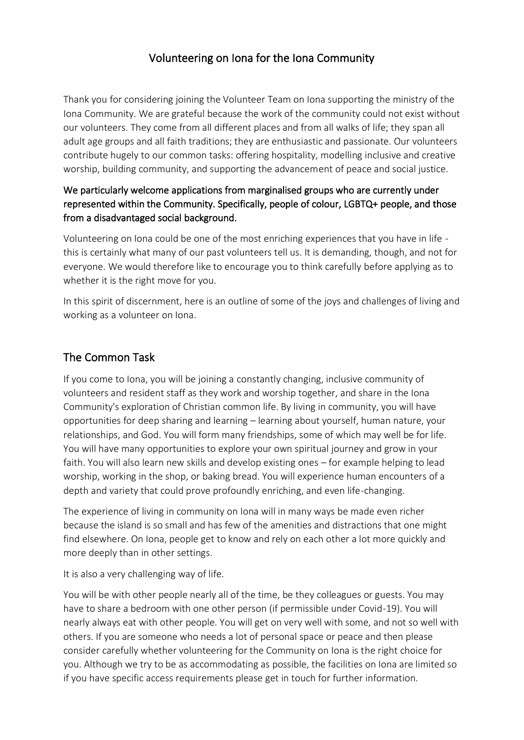## Volunteering on Iona for the Iona Community

Thank you for considering joining the Volunteer Team on Iona supporting the ministry of the Iona Community. We are grateful because the work of the community could not exist without our volunteers. They come from all different places and from all walks of life; they span all adult age groups and all faith traditions; they are enthusiastic and passionate. Our volunteers contribute hugely to our common tasks: offering hospitality, modelling inclusive and creative worship, building community, and supporting the advancement of peace and social justice.

### We particularly welcome applications from marginalised groups who are currently under represented within the Community. Specifically, people of colour, LGBTQ+ people, and those from a disadvantaged social background.

Volunteering on Iona could be one of the most enriching experiences that you have in life this is certainly what many of our past volunteers tell us. It is demanding, though, and not for everyone. We would therefore like to encourage you to think carefully before applying as to whether it is the right move for you.

In this spirit of discernment, here is an outline of some of the joys and challenges of living and working as a volunteer on Iona.

## The Common Task

If you come to Iona, you will be joining a constantly changing, inclusive community of volunteers and resident staff as they work and worship together, and share in the Iona Community's exploration of Christian common life. By living in community, you will have opportunities for deep sharing and learning – learning about yourself, human nature, your relationships, and God. You will form many friendships, some of which may well be for life. You will have many opportunities to explore your own spiritual journey and grow in your faith. You will also learn new skills and develop existing ones – for example helping to lead worship, working in the shop, or baking bread. You will experience human encounters of a depth and variety that could prove profoundly enriching, and even life-changing.

The experience of living in community on Iona will in many ways be made even richer because the island is so small and has few of the amenities and distractions that one might find elsewhere. On Iona, people get to know and rely on each other a lot more quickly and more deeply than in other settings.

It is also a very challenging way of life.

You will be with other people nearly all of the time, be they colleagues or guests. You may have to share a bedroom with one other person (if permissible under Covid-19). You will nearly always eat with other people. You will get on very well with some, and not so well with others. If you are someone who needs a lot of personal space or peace and then please consider carefully whether volunteering for the Community on Iona is the right choice for you. Although we try to be as accommodating as possible, the facilities on Iona are limited so if you have specific access requirements please get in touch for further information.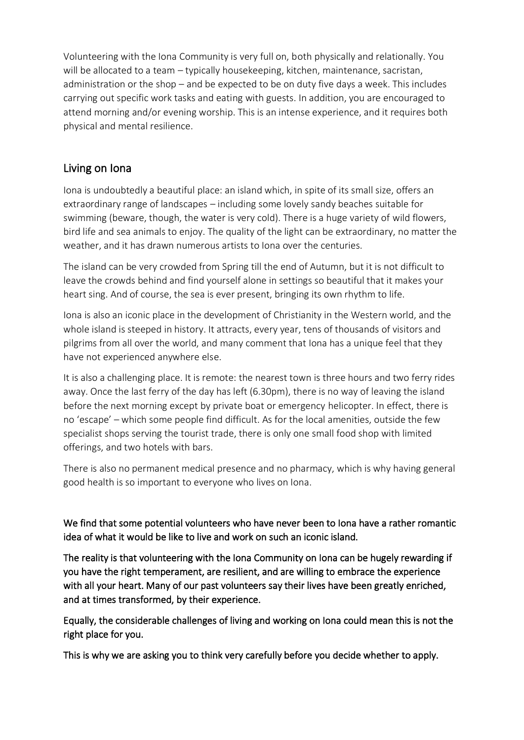Volunteering with the Iona Community is very full on, both physically and relationally. You will be allocated to a team – typically housekeeping, kitchen, maintenance, sacristan, administration or the shop – and be expected to be on duty five days a week. This includes carrying out specific work tasks and eating with guests. In addition, you are encouraged to attend morning and/or evening worship. This is an intense experience, and it requires both physical and mental resilience.

## Living on Iona

Iona is undoubtedly a beautiful place: an island which, in spite of its small size, offers an extraordinary range of landscapes – including some lovely sandy beaches suitable for swimming (beware, though, the water is very cold). There is a huge variety of wild flowers, bird life and sea animals to enjoy. The quality of the light can be extraordinary, no matter the weather, and it has drawn numerous artists to Iona over the centuries.

The island can be very crowded from Spring till the end of Autumn, but it is not difficult to leave the crowds behind and find yourself alone in settings so beautiful that it makes your heart sing. And of course, the sea is ever present, bringing its own rhythm to life.

Iona is also an iconic place in the development of Christianity in the Western world, and the whole island is steeped in history. It attracts, every year, tens of thousands of visitors and pilgrims from all over the world, and many comment that Iona has a unique feel that they have not experienced anywhere else.

It is also a challenging place. It is remote: the nearest town is three hours and two ferry rides away. Once the last ferry of the day has left (6.30pm), there is no way of leaving the island before the next morning except by private boat or emergency helicopter. In effect, there is no 'escape' – which some people find difficult. As for the local amenities, outside the few specialist shops serving the tourist trade, there is only one small food shop with limited offerings, and two hotels with bars.

There is also no permanent medical presence and no pharmacy, which is why having general good health is so important to everyone who lives on Iona.

We find that some potential volunteers who have never been to Iona have a rather romantic idea of what it would be like to live and work on such an iconic island.

The reality is that volunteering with the Iona Community on Iona can be hugely rewarding if you have the right temperament, are resilient, and are willing to embrace the experience with all your heart. Many of our past volunteers say their lives have been greatly enriched, and at times transformed, by their experience.

Equally, the considerable challenges of living and working on Iona could mean this is not the right place for you.

This is why we are asking you to think very carefully before you decide whether to apply.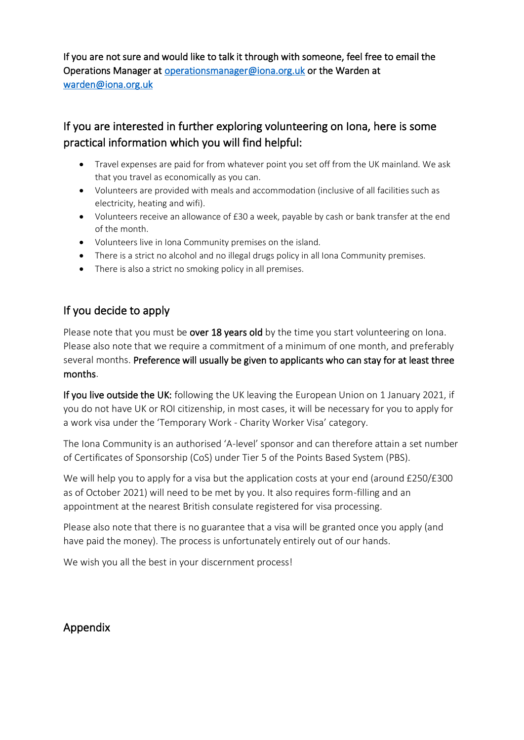If you are not sure and would like to talk it through with someone, feel free to email the Operations Manager a[t operationsmanager@iona.org.uk](mailto:operationsmanager@iona.org.uk) or the Warden at [warden@iona.org.uk](mailto:warden@iona.org.uk)

# If you are interested in further exploring volunteering on Iona, here is some practical information which you will find helpful:

- Travel expenses are paid for from whatever point you set off from the UK mainland. We ask that you travel as economically as you can.
- Volunteers are provided with meals and accommodation (inclusive of all facilities such as electricity, heating and wifi).
- Volunteers receive an allowance of £30 a week, payable by cash or bank transfer at the end of the month.
- Volunteers live in Iona Community premises on the island.
- There is a strict no alcohol and no illegal drugs policy in all lona Community premises.
- There is also a strict no smoking policy in all premises.

## If you decide to apply

Please note that you must be over 18 years old by the time you start volunteering on Iona. Please also note that we require a commitment of a minimum of one month, and preferably several months. Preference will usually be given to applicants who can stay for at least three months.

If you live outside the UK: following the UK leaving the European Union on 1 January 2021, if you do not have UK or ROI citizenship, in most cases, it will be necessary for you to apply for a work visa under the 'Temporary Work - Charity Worker Visa' category.

The Iona Community is an authorised 'A-level' sponsor and can therefore attain a set number of Certificates of Sponsorship (CoS) under Tier 5 of the Points Based System (PBS).

We will help you to apply for a visa but the application costs at your end (around £250/£300 as of October 2021) will need to be met by you. It also requires form-filling and an appointment at the nearest British consulate registered for visa processing.

Please also note that there is no guarantee that a visa will be granted once you apply (and have paid the money). The process is unfortunately entirely out of our hands.

We wish you all the best in your discernment process!

## Appendix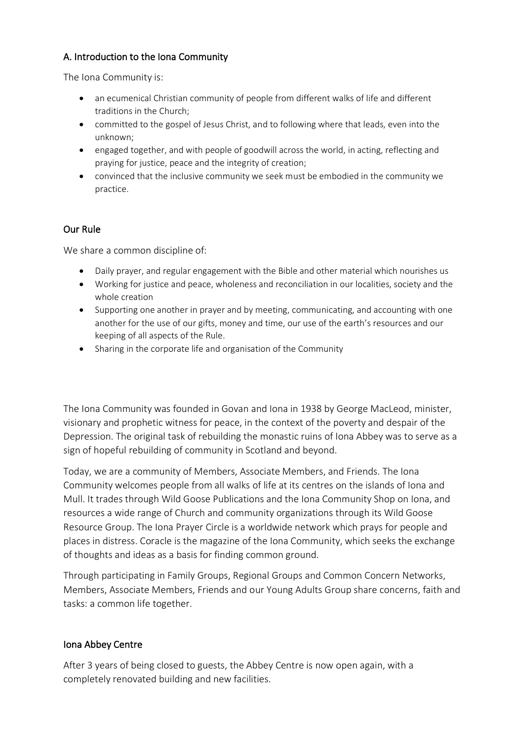### A. Introduction to the Iona Community

The Iona Community is:

- an ecumenical Christian community of people from different walks of life and different traditions in the Church;
- committed to the gospel of Jesus Christ, and to following where that leads, even into the unknown;
- engaged together, and with people of goodwill across the world, in acting, reflecting and praying for justice, peace and the integrity of creation;
- convinced that the inclusive community we seek must be embodied in the community we practice.

### Our Rule

We share a common discipline of:

- Daily prayer, and regular engagement with the Bible and other material which nourishes us
- Working for justice and peace, wholeness and reconciliation in our localities, society and the whole creation
- Supporting one another in prayer and by meeting, communicating, and accounting with one another for the use of our gifts, money and time, our use of the earth's resources and our keeping of all aspects of the Rule.
- Sharing in the corporate life and organisation of the Community

The Iona Community was founded in Govan and Iona in 1938 by George MacLeod, minister, visionary and prophetic witness for peace, in the context of the poverty and despair of the Depression. The original task of rebuilding the monastic ruins of Iona Abbey was to serve as a sign of hopeful rebuilding of community in Scotland and beyond.

Today, we are a community of Members, Associate Members, and Friends. The Iona Community welcomes people from all walks of life at its centres on the islands of Iona and Mull. It trades through Wild Goose Publications and the Iona Community Shop on Iona, and resources a wide range of Church and community organizations through its Wild Goose Resource Group. The Iona Prayer Circle is a worldwide network which prays for people and places in distress. Coracle is the magazine of the Iona Community, which seeks the exchange of thoughts and ideas as a basis for finding common ground.

Through participating in Family Groups, Regional Groups and Common Concern Networks, Members, Associate Members, Friends and our Young Adults Group share concerns, faith and tasks: a common life together.

### Iona Abbey Centre

After 3 years of being closed to guests, the Abbey Centre is now open again, with a completely renovated building and new facilities.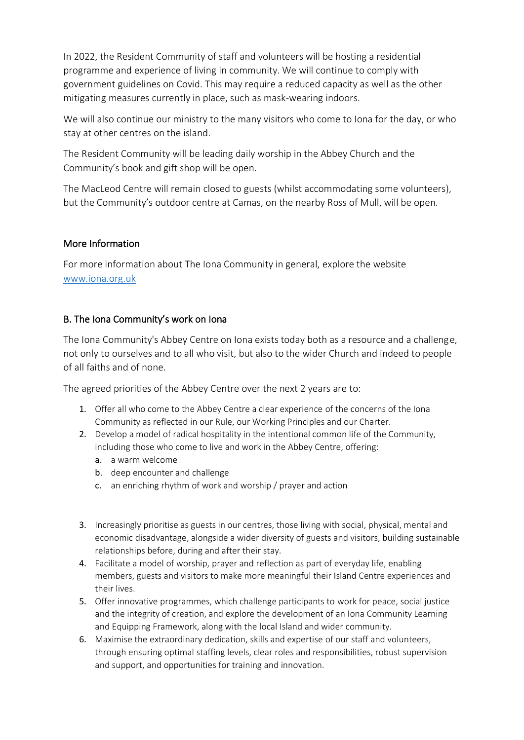In 2022, the Resident Community of staff and volunteers will be hosting a residential programme and experience of living in community. We will continue to comply with government guidelines on Covid. This may require a reduced capacity as well as the other mitigating measures currently in place, such as mask-wearing indoors.

We will also continue our ministry to the many visitors who come to Iona for the day, or who stay at other centres on the island.

The Resident Community will be leading daily worship in the Abbey Church and the Community's book and gift shop will be open.

The MacLeod Centre will remain closed to guests (whilst accommodating some volunteers), but the Community's outdoor centre at Camas, on the nearby Ross of Mull, will be open.

### More Information

For more information about The Iona Community in general, explore the website [www.iona.org.uk](http://www.iona.org.uk/) 

### B. The Iona Community's work on Iona

The Iona Community's Abbey Centre on Iona exists today both as a resource and a challenge, not only to ourselves and to all who visit, but also to the wider Church and indeed to people of all faiths and of none.

The agreed priorities of the Abbey Centre over the next 2 years are to:

- 1. Offer all who come to the Abbey Centre a clear experience of the concerns of the Iona Community as reflected in our Rule, our Working Principles and our Charter.
- 2. Develop a model of radical hospitality in the intentional common life of the Community, including those who come to live and work in the Abbey Centre, offering:
	- a. a warm welcome
	- b. deep encounter and challenge
	- c. an enriching rhythm of work and worship / prayer and action
- 3. Increasingly prioritise as guests in our centres, those living with social, physical, mental and economic disadvantage, alongside a wider diversity of guests and visitors, building sustainable relationships before, during and after their stay.
- 4. Facilitate a model of worship, prayer and reflection as part of everyday life, enabling members, guests and visitors to make more meaningful their Island Centre experiences and their lives.
- 5. Offer innovative programmes, which challenge participants to work for peace, social justice and the integrity of creation, and explore the development of an Iona Community Learning and Equipping Framework, along with the local Island and wider community.
- 6. Maximise the extraordinary dedication, skills and expertise of our staff and volunteers, through ensuring optimal staffing levels, clear roles and responsibilities, robust supervision and support, and opportunities for training and innovation.